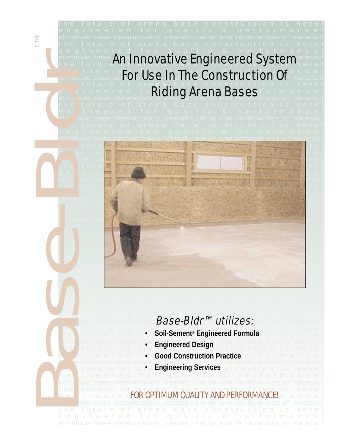

- eliminate base deterioration, and having and random loss of material!
- the future of are **Engineered Design** and random loss of material!
- **engineered for Good Construction Practice** erformance! enminate base deterioration, destabilization and random loss of material!
- future of are **Engineering Services** struction is here!

the future of <u>arena base construction</u> is here! en ineered f**or optimum quality and performance!** In a n c e ! the future of arena base construction is here! FOR OPTIMUM QUALITY AND PERFORMANCE!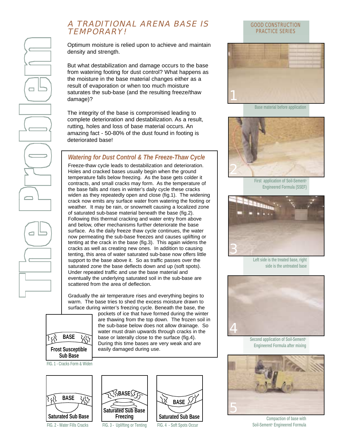# A TRADITIONAL ARENA BASE IS TEMPORARY!

Optimum moisture is relied upon to achieve and maintain density and strength.

But what destabilization and damage occurs to the base from watering footing for dust control? What happens as the moisture in the base material changes either as a result of evaporation or when too much moisture saturates the sub-base (and the resulting freeze/thaw damage)?

The integrity of the base is compromised leading to complete deterioration and destabilization. As a result, rutting, holes and loss of base material occurs. An amazing fact - 50-80% of the dust found in footing is deteriorated base!

# *Watering for Dust Control & The Freeze-Thaw Cycle*

Freeze-thaw cycle leads to destabilization and deterioration. Holes and cracked bases usually begin when the ground temperature falls below freezing. As the base gets colder it contracts, and small cracks may form. As the temperature of the base falls and rises in winter's daily cycle these cracks widen as they repeatedly open and close (fig.1). The widening crack now emits any surface water from watering the footing or weather. It may be rain, or snowmelt causing a localized zone of saturated sub-base material beneath the base (fig.2). Following this thermal cracking and water entry from above and below, other mechanisms further deteriorate the base surface. As the daily freeze thaw cycle continues, the water now permeating the sub-base freezes and causes uplifting or tenting at the crack in the base (fig.3). This again widens the cracks as well as creating new ones. In addition to causing tenting, this area of water saturated sub-base now offers little support to the base above it. So as traffic passes over the saturated zone the base deflects down and up (soft spots). Under repeated traffic and use the base material and eventually the underlying saturated soil in the sub-base are scattered from the area of deflection.

Gradually the air temperature rises and everything begins to warm. The base tries to shed the excess moisture drawn to surface during winter's freezing cycle. Beneath the base, the



pockets of ice that have formed during the winter are thawing from the top down. The frozen soil in the sub-base below does not allow drainage. So water must drain upwards through cracks in the base or laterally close to the surface (fig.4). During this time bases are very weak and are easily damaged during use.

**FIG. 1 - Cracks Form & Widen**







#### GOOD CONSTRUCTION PRACTICE SERIES



**Base material before application**



**First application of Soil-Sement® Engineered Formula (SSEF)**



**Left side is the treated base, right side is the untreated base**



**Second application of Soil-Sement® Engineered Formula after mixing**



**Compaction of base with**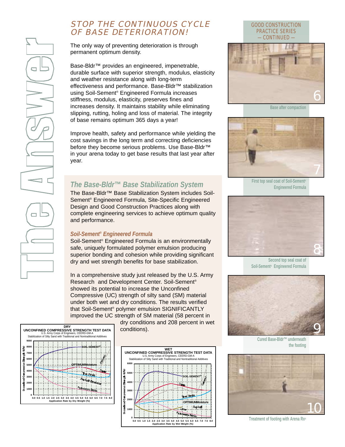# STOP THE CONTINUOUS CYCLE OF BASE DETERIORATION!

The only way of preventing deterioration is through permanent optimum density.

Base-Bldr™ provides an engineered, impenetrable, durable surface with superior strength, modulus, elasticity and weather resistance along with long-term effectiveness and performance. Base-Bldr™ stabilization using Soil-Sement® Engineered Formula increases stiffness, modulus, elasticity, preserves fines and increases density. It maintains stability while eliminating slipping, rutting, holing and loss of material. The integrity of base remains optimum 365 days a year!

Improve health, safety and performance while yielding the cost savings in the long term and correcting deficiencies before they become serious problems. Use Base-Bldr™ in your arena today to get base results that last year after year.

# *The Base-Bldr™ Base Stabilization System*

The Base-Bldr™ Base Stabilization System includes Soil-Sement® Engineered Formula, Site-Specific Engineered Design and Good Construction Practices along with complete engineering services to achieve optimum quality and performance.

## *Soil-Sement® Engineered Formula*

Soil-Sement® Engineered Formula is an environmentally safe, uniquely formulated polymer emulsion producing superior bonding and cohesion while providing significant dry and wet strength benefits for base stabilization.

In a comprehensive study just released by the U.S. Army Research and Development Center. Soil-Sement® showed its potential to increase the Unconfined Compressive (UC) strength of silty sand (SM) material under both wet and dry conditions. The results verified that Soil-Sement® polymer emulsion SIGNIFICANTLY improved the UC strength of SM material (58 percent in



dry conditions and 208 percent in wet conditions).



#### GOOD CONSTRUCTION PRACTICE SERIES — CONTINUED —



**Base after compaction**



**First top seal coat of Soil-Sement® Engineered Formula**



**Second top seal coat of Soil-Sement® Engineered Formula**



**Cured Base-Bldr™ underneath the footing** 



**Treatment of footing with Arena Rx®**